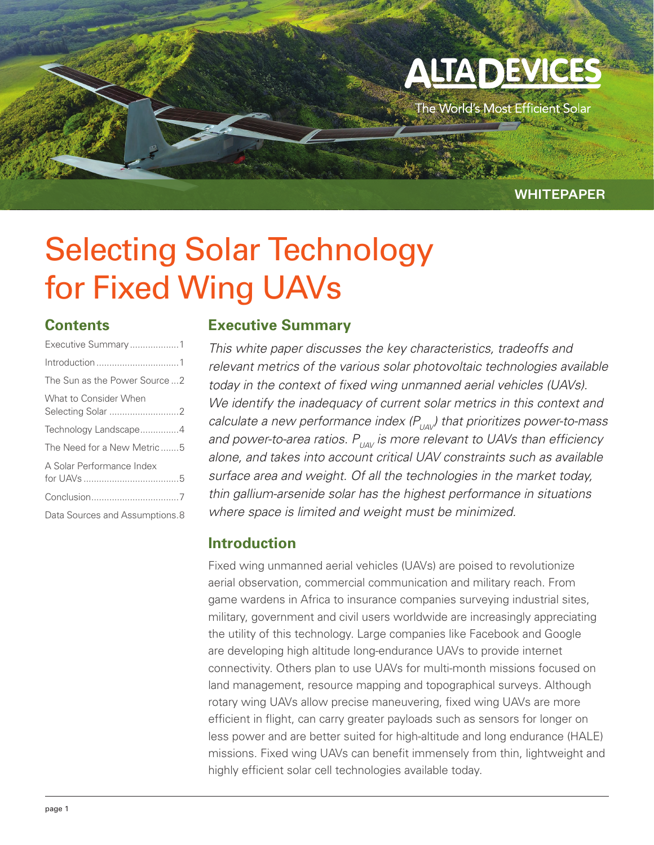# **ALTA DEVICE**

The World's Most Efficient Solar

## WHITEPAPER

## Selecting Solar Technology for Fixed Wing UAVs

## **Contents**

| Executive Summary1             |
|--------------------------------|
|                                |
| The Sun as the Power Source  2 |
| What to Consider When          |
| Technology Landscape4          |
| The Need for a New Metric 5    |
| A Solar Performance Index      |
|                                |
| Data Sources and Assumptions.8 |

## **Executive Summary**

*This white paper discusses the key characteristics, tradeoffs and relevant metrics of the various solar photovoltaic technologies available today in the context of fixed wing unmanned aerial vehicles (UAVs). We identify the inadequacy of current solar metrics in this context and calculate a new performance index (P<sub>UAV</sub>) that prioritizes power-to-mass and power-to-area ratios.*  $P_{UAV}$  *is more relevant to UAVs than efficiency alone, and takes into account critical UAV constraints such as available surface area and weight. Of all the technologies in the market today, thin gallium-arsenide solar has the highest performance in situations where space is limited and weight must be minimized.*

## **Introduction**

Fixed wing unmanned aerial vehicles (UAVs) are poised to revolutionize aerial observation, commercial communication and military reach. From game wardens in Africa to insurance companies surveying industrial sites, military, government and civil users worldwide are increasingly appreciating the utility of this technology. Large companies like Facebook and Google are developing high altitude long-endurance UAVs to provide internet connectivity. Others plan to use UAVs for multi-month missions focused on land management, resource mapping and topographical surveys. Although rotary wing UAVs allow precise maneuvering, fixed wing UAVs are more efficient in flight, can carry greater payloads such as sensors for longer on less power and are better suited for high-altitude and long endurance (HALE) missions. Fixed wing UAVs can benefit immensely from thin, lightweight and highly efficient solar cell technologies available today.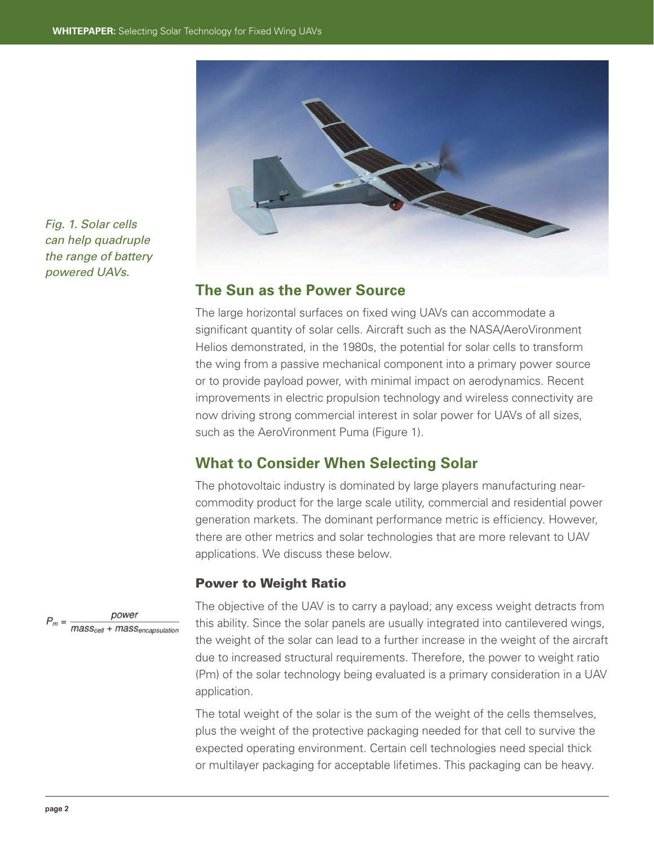

*Fig. 1. Solar cells can help quadruple the range of battery powered UAVs.*

### **The Sun as the Power Source**

The large horizontal surfaces on fixed wing UAVs can accommodate a significant quantity of solar cells. Aircraft such as the NASA/AeroVironment Helios demonstrated, in the 1980s, the potential for solar cells to transform the wing from a passive mechanical component into a primary power source or to provide payload power, with minimal impact on aerodynamics. Recent improvements in electric propulsion technology and wireless connectivity are now driving strong commercial interest in solar power for UAVs of all sizes, such as the AeroVironment Puma (Figure 1).

#### **What to Consider When Selecting Solar**

The photovoltaic industry is dominated by large players manufacturing nearcommodity product for the large scale utility, commercial and residential power generation markets. The dominant performance metric is efficiency. However, there are other metrics and solar technologies that are more relevant to UAV applications. We discuss these below.

#### Power to Weight Ratio



The objective of the UAV is to carry a payload; any excess weight detracts from this ability. Since the solar panels are usually integrated into cantilevered wings, the weight of the solar can lead to a further increase in the weight of the aircraft due to increased structural requirements. Therefore, the power to weight ratio (Pm) of the solar technology being evaluated is a primary consideration in a UAV application.

The total weight of the solar is the sum of the weight of the cells themselves, plus the weight of the protective packaging needed for that cell to survive the expected operating environment. Certain cell technologies need special thick or multilayer packaging for acceptable lifetimes. This packaging can be heavy.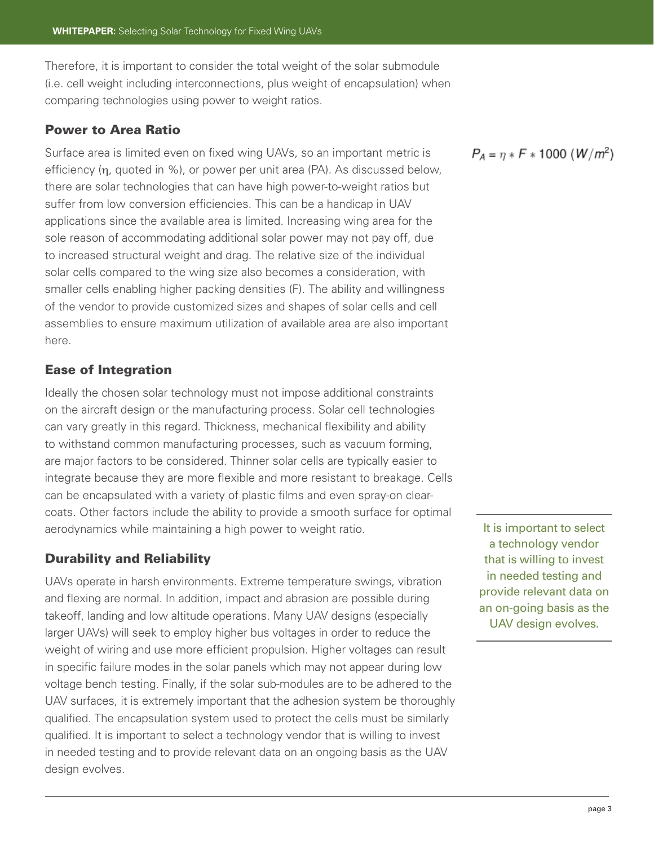Therefore, it is important to consider the total weight of the solar submodule (i.e. cell weight including interconnections, plus weight of encapsulation) when comparing technologies using power to weight ratios.

#### Power to Area Ratio

Surface area is limited even on fixed wing UAVs, so an important metric is efficiency (η, quoted in %), or power per unit area (PA). As discussed below, there are solar technologies that can have high power-to-weight ratios but suffer from low conversion efficiencies. This can be a handicap in UAV applications since the available area is limited. Increasing wing area for the sole reason of accommodating additional solar power may not pay off, due to increased structural weight and drag. The relative size of the individual solar cells compared to the wing size also becomes a consideration, with smaller cells enabling higher packing densities (F). The ability and willingness of the vendor to provide customized sizes and shapes of solar cells and cell assemblies to ensure maximum utilization of available area are also important here.

#### Ease of Integration

Ideally the chosen solar technology must not impose additional constraints on the aircraft design or the manufacturing process. Solar cell technologies can vary greatly in this regard. Thickness, mechanical flexibility and ability to withstand common manufacturing processes, such as vacuum forming, are major factors to be considered. Thinner solar cells are typically easier to integrate because they are more flexible and more resistant to breakage. Cells can be encapsulated with a variety of plastic films and even spray-on clearcoats. Other factors include the ability to provide a smooth surface for optimal aerodynamics while maintaining a high power to weight ratio.

#### Durability and Reliability

UAVs operate in harsh environments. Extreme temperature swings, vibration and flexing are normal. In addition, impact and abrasion are possible during takeoff, landing and low altitude operations. Many UAV designs (especially larger UAVs) will seek to employ higher bus voltages in order to reduce the weight of wiring and use more efficient propulsion. Higher voltages can result in specific failure modes in the solar panels which may not appear during low voltage bench testing. Finally, if the solar sub-modules are to be adhered to the UAV surfaces, it is extremely important that the adhesion system be thoroughly qualified. The encapsulation system used to protect the cells must be similarly qualified. It is important to select a technology vendor that is willing to invest in needed testing and to provide relevant data on an ongoing basis as the UAV design evolves.

 $P_A = \eta * F * 1000 (W/m^2)$ 

It is important to select a technology vendor that is willing to invest in needed testing and provide relevant data on an on-going basis as the UAV design evolves.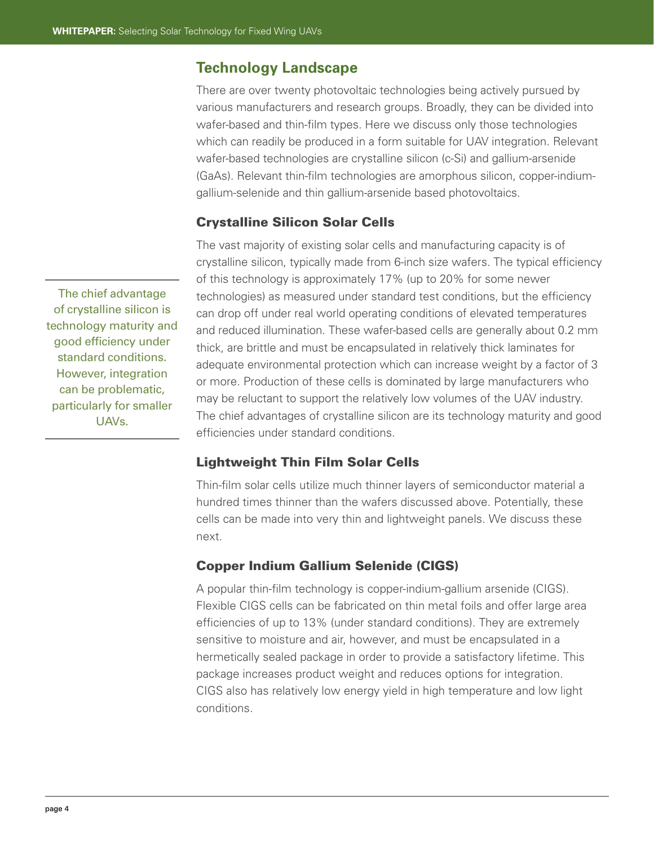## **Technology Landscape**

There are over twenty photovoltaic technologies being actively pursued by various manufacturers and research groups. Broadly, they can be divided into wafer-based and thin-film types. Here we discuss only those technologies which can readily be produced in a form suitable for UAV integration. Relevant wafer-based technologies are crystalline silicon (c-Si) and gallium-arsenide (GaAs). Relevant thin-film technologies are amorphous silicon, copper-indiumgallium-selenide and thin gallium-arsenide based photovoltaics.

#### Crystalline Silicon Solar Cells

The vast majority of existing solar cells and manufacturing capacity is of crystalline silicon, typically made from 6-inch size wafers. The typical efficiency of this technology is approximately 17% (up to 20% for some newer technologies) as measured under standard test conditions, but the efficiency can drop off under real world operating conditions of elevated temperatures and reduced illumination. These wafer-based cells are generally about 0.2 mm thick, are brittle and must be encapsulated in relatively thick laminates for adequate environmental protection which can increase weight by a factor of 3 or more. Production of these cells is dominated by large manufacturers who may be reluctant to support the relatively low volumes of the UAV industry. The chief advantages of crystalline silicon are its technology maturity and good efficiencies under standard conditions.

#### Lightweight Thin Film Solar Cells

Thin-film solar cells utilize much thinner layers of semiconductor material a hundred times thinner than the wafers discussed above. Potentially, these cells can be made into very thin and lightweight panels. We discuss these next.

#### Copper Indium Gallium Selenide (CIGS)

A popular thin-film technology is copper-indium-gallium arsenide (CIGS). Flexible CIGS cells can be fabricated on thin metal foils and offer large area efficiencies of up to 13% (under standard conditions). They are extremely sensitive to moisture and air, however, and must be encapsulated in a hermetically sealed package in order to provide a satisfactory lifetime. This package increases product weight and reduces options for integration. CIGS also has relatively low energy yield in high temperature and low light conditions.

The chief advantage of crystalline silicon is technology maturity and good efficiency under standard conditions. However, integration can be problematic, particularly for smaller UAVs.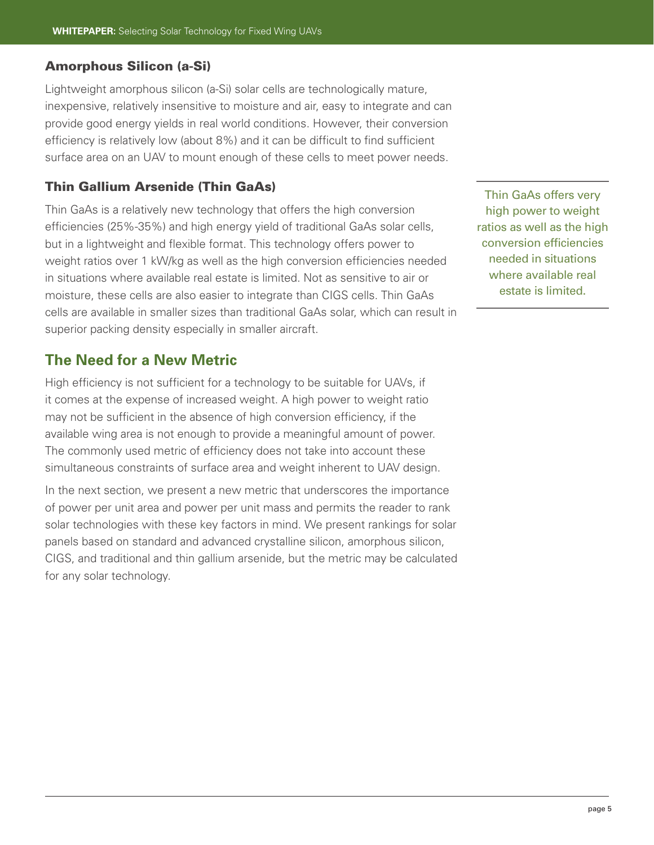#### Amorphous Silicon (a-Si)

Lightweight amorphous silicon (a-Si) solar cells are technologically mature, inexpensive, relatively insensitive to moisture and air, easy to integrate and can provide good energy yields in real world conditions. However, their conversion efficiency is relatively low (about 8%) and it can be difficult to find sufficient surface area on an UAV to mount enough of these cells to meet power needs.

#### Thin Gallium Arsenide (Thin GaAs)

Thin GaAs is a relatively new technology that offers the high conversion efficiencies (25%-35%) and high energy yield of traditional GaAs solar cells, but in a lightweight and flexible format. This technology offers power to weight ratios over 1 kW/kg as well as the high conversion efficiencies needed in situations where available real estate is limited. Not as sensitive to air or moisture, these cells are also easier to integrate than CIGS cells. Thin GaAs cells are available in smaller sizes than traditional GaAs solar, which can result in superior packing density especially in smaller aircraft.

## **The Need for a New Metric**

High efficiency is not sufficient for a technology to be suitable for UAVs, if it comes at the expense of increased weight. A high power to weight ratio may not be sufficient in the absence of high conversion efficiency, if the available wing area is not enough to provide a meaningful amount of power. The commonly used metric of efficiency does not take into account these simultaneous constraints of surface area and weight inherent to UAV design.

In the next section, we present a new metric that underscores the importance of power per unit area and power per unit mass and permits the reader to rank solar technologies with these key factors in mind. We present rankings for solar panels based on standard and advanced crystalline silicon, amorphous silicon, CIGS, and traditional and thin gallium arsenide, but the metric may be calculated for any solar technology.

Thin GaAs offers very high power to weight ratios as well as the high conversion efficiencies needed in situations where available real estate is limited.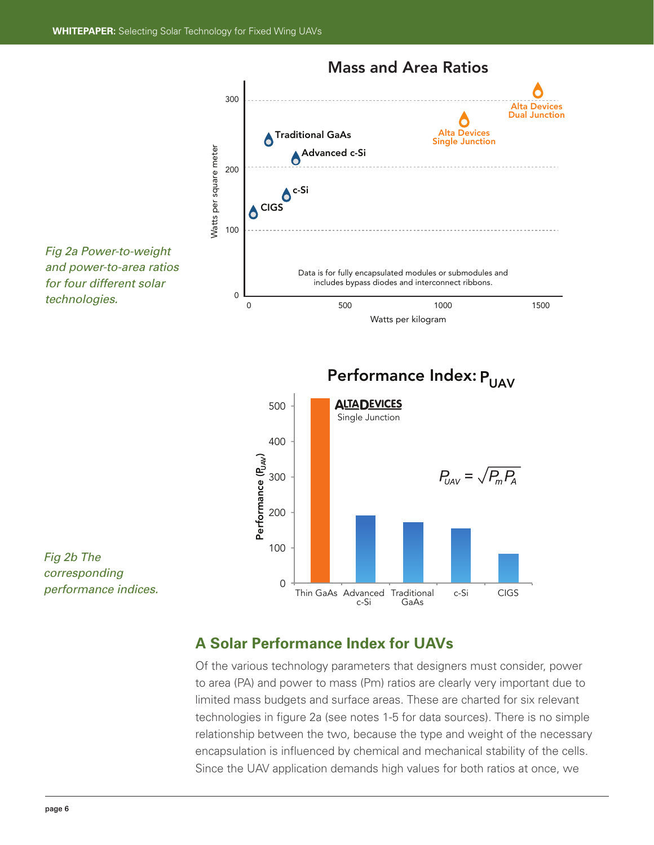

## **A Solar Performance Index for UAVs**

Of the various technology parameters that designers must consider, power to area (PA) and power to mass (Pm) ratios are clearly very important due to limited mass budgets and surface areas. These are charted for six relevant technologies in figure 2a (see notes 1-5 for data sources). There is no simple relationship between the two, because the type and weight of the necessary encapsulation is influenced by chemical and mechanical stability of the cells. Since the UAV application demands high values for both ratios at once, we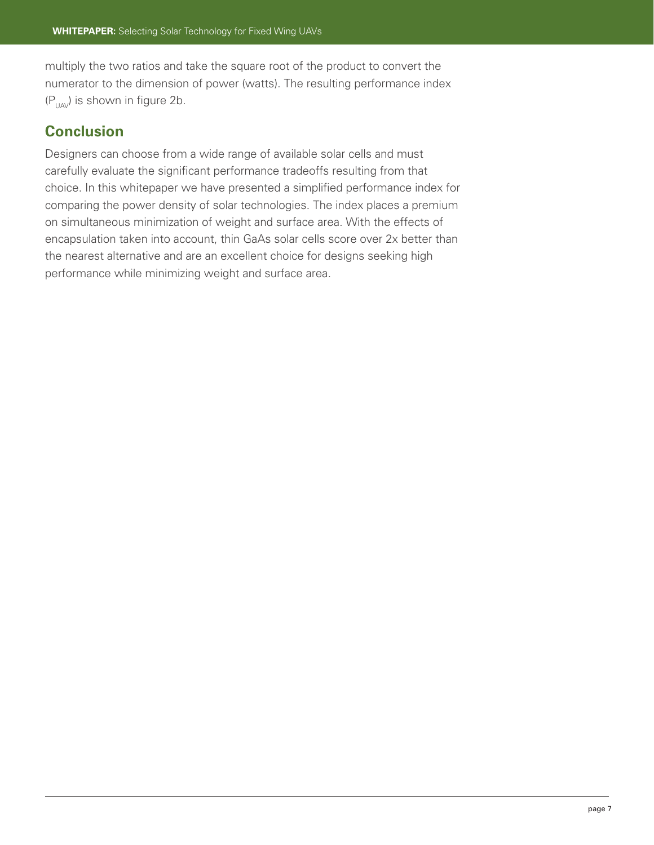multiply the two ratios and take the square root of the product to convert the numerator to the dimension of power (watts). The resulting performance index  $(P_{U\wedge V})$  is shown in figure 2b.

## **Conclusion**

Designers can choose from a wide range of available solar cells and must carefully evaluate the significant performance tradeoffs resulting from that choice. In this whitepaper we have presented a simplified performance index for comparing the power density of solar technologies. The index places a premium on simultaneous minimization of weight and surface area. With the effects of encapsulation taken into account, thin GaAs solar cells score over 2x better than the nearest alternative and are an excellent choice for designs seeking high performance while minimizing weight and surface area.